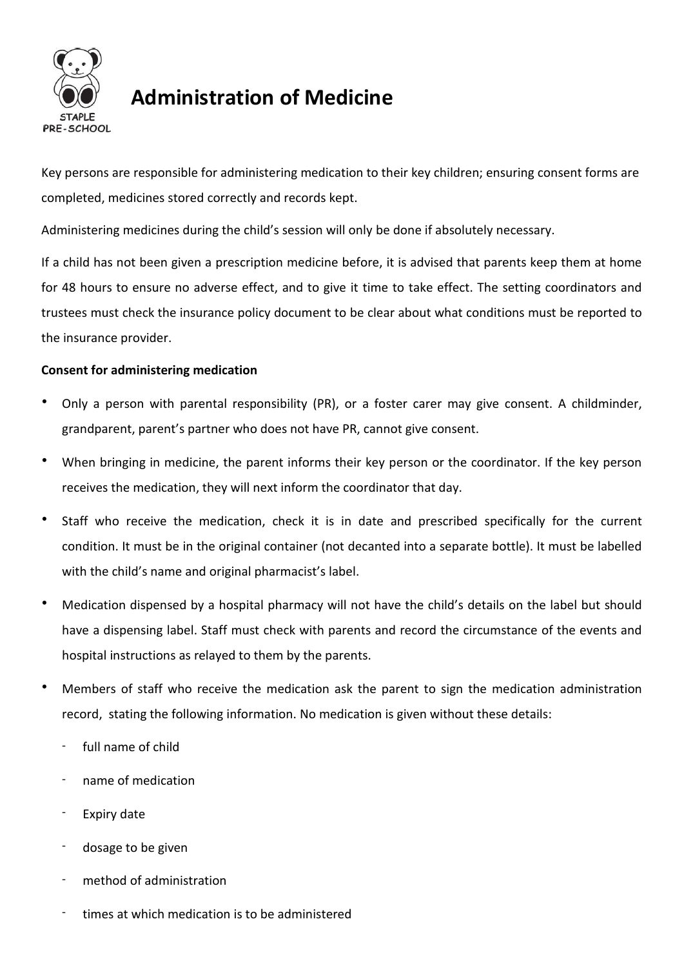

# **Administration of Medicine**

Key persons are responsible for administering medication to their key children; ensuring consent forms are completed, medicines stored correctly and records kept.

Administering medicines during the child's session will only be done if absolutely necessary.

If a child has not been given a prescription medicine before, it is advised that parents keep them at home for 48 hours to ensure no adverse effect, and to give it time to take effect. The setting coordinators and trustees must check the insurance policy document to be clear about what conditions must be reported to the insurance provider.

# **Consent for administering medication**

- Only a person with parental responsibility (PR), or a foster carer may give consent. A childminder, grandparent, parent's partner who does not have PR, cannot give consent.
- When bringing in medicine, the parent informs their key person or the coordinator. If the key person receives the medication, they will next inform the coordinator that day.
- Staff who receive the medication, check it is in date and prescribed specifically for the current condition. It must be in the original container (not decanted into a separate bottle). It must be labelled with the child's name and original pharmacist's label.
- Medication dispensed by a hospital pharmacy will not have the child's details on the label but should have a dispensing label. Staff must check with parents and record the circumstance of the events and hospital instructions as relayed to them by the parents.
- Members of staff who receive the medication ask the parent to sign the medication administration record, stating the following information. No medication is given without these details:
	- full name of child
	- name of medication
	- Expiry date
	- dosage to be given
	- method of administration
	- times at which medication is to be administered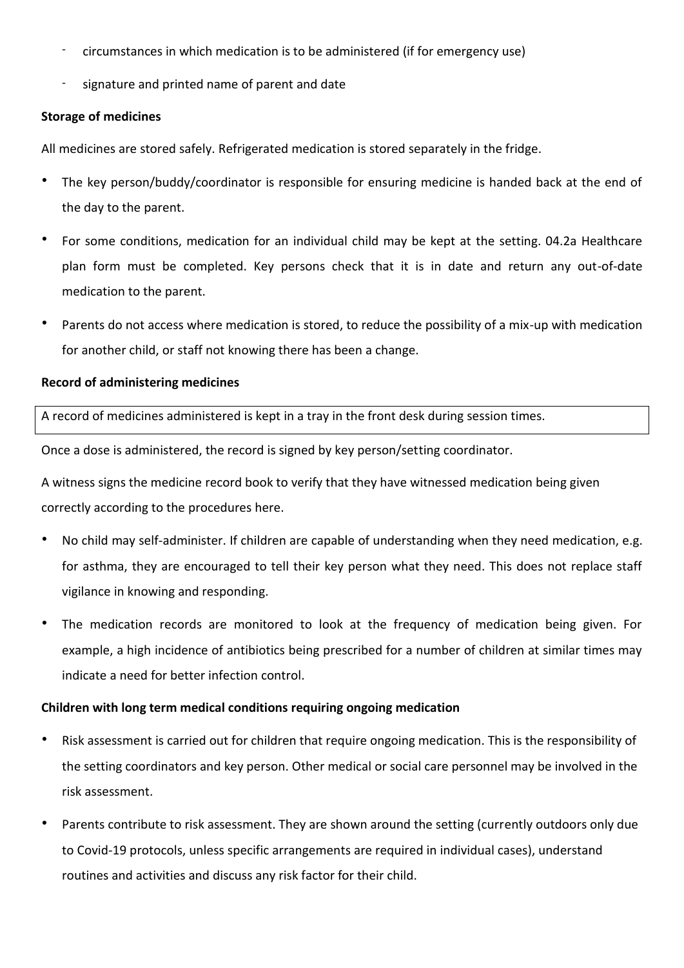- circumstances in which medication is to be administered (if for emergency use)
- signature and printed name of parent and date

#### **Storage of medicines**

All medicines are stored safely. Refrigerated medication is stored separately in the fridge.

- The key person/buddy/coordinator is responsible for ensuring medicine is handed back at the end of the day to the parent.
- For some conditions, medication for an individual child may be kept at the setting. 04.2a Healthcare plan form must be completed. Key persons check that it is in date and return any out-of-date medication to the parent.
- Parents do not access where medication is stored, to reduce the possibility of a mix-up with medication for another child, or staff not knowing there has been a change.

## **Record of administering medicines**

A record of medicines administered is kept in a tray in the front desk during session times.

Once a dose is administered, the record is signed by key person/setting coordinator.

A witness signs the medicine record book to verify that they have witnessed medication being given correctly according to the procedures here.

- No child may self-administer. If children are capable of understanding when they need medication, e.g. for asthma, they are encouraged to tell their key person what they need. This does not replace staff vigilance in knowing and responding.
- The medication records are monitored to look at the frequency of medication being given. For example, a high incidence of antibiotics being prescribed for a number of children at similar times may indicate a need for better infection control.

#### **Children with long term medical conditions requiring ongoing medication**

- Risk assessment is carried out for children that require ongoing medication. This is the responsibility of the setting coordinators and key person. Other medical or social care personnel may be involved in the risk assessment.
- Parents contribute to risk assessment. They are shown around the setting (currently outdoors only due to Covid-19 protocols, unless specific arrangements are required in individual cases), understand routines and activities and discuss any risk factor for their child.